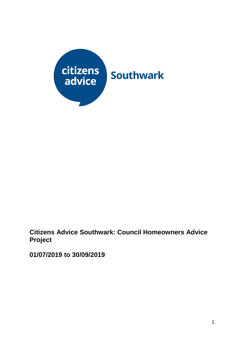

**Citizens Advice Southwark: Council Homeowners Advice Project**

**01/07/2019 to 30/09/2019**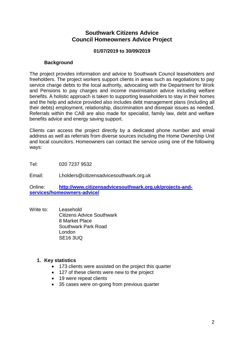# **Southwark Citizens Advice Council Homeowners Advice Project**

## **01/07/2019 to 30/09/2019**

## **Background**

The project provides information and advice to Southwark Council leaseholders and freeholders. The project workers support clients in areas such as negotiations to pay service charge debts to the local authority, advocating with the Department for Work and Pensions to pay charges and income maximisation advice including welfare benefits. A holistic approach is taken to supporting leaseholders to stay in their homes and the help and advice provided also includes debt management plans (including all their debts) employment, relationship, discrimination and disrepair issues as needed. Referrals within the CAB are also made for specialist, family law, debt and welfare benefits advice and energy saving support.

Clients can access the project directly by a dedicated phone number and email address as well as referrals from diverse sources including the Home Ownership Unit and local councilors. Homeowners can contact the service using one of the following ways:

Tel: 020 7237 9532

Email: Lholders@citizensadvicesouthwark.org.uk

Online: **[http://www.citizensadvicesouthwark.org.uk/projects-and](http://www.citizensadvicesouthwark.org.uk/projects-and-services/homeowners-advice/)[services/homeowners-advice/](http://www.citizensadvicesouthwark.org.uk/projects-and-services/homeowners-advice/)**

Write to: Leasehold Citizens Advice Southwark 8 Market Place Southwark Park Road London SE16 3UQ

### **1. Key statistics**

- 173 clients were assisted on the project this quarter
- 127 of these clients were new to the project
- 19 were repeat clients
- 35 cases were on-going from previous quarter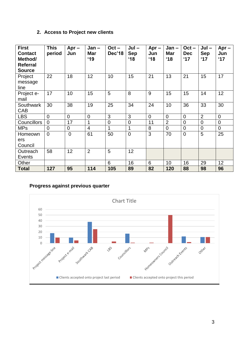# **2. Access to Project new clients**

| <b>First</b><br><b>Contact</b><br>Method/<br><b>Referral</b><br><b>Source</b> | <b>This</b><br>period | $Apr -$<br>Jun | $Jan -$<br><b>Mar</b><br>19 | $Oct -$<br>Dec'18 | $Jul -$<br><b>Sep</b><br>$^{\circ}18$ | $Apr -$<br>Jun<br>18 | $Jan -$<br><b>Mar</b><br>18 | $Oct -$<br><b>Dec</b><br>17 | $Jul -$<br><b>Sep</b><br>17 | $Apr -$<br>Jun<br>$^{\circ}17$ |
|-------------------------------------------------------------------------------|-----------------------|----------------|-----------------------------|-------------------|---------------------------------------|----------------------|-----------------------------|-----------------------------|-----------------------------|--------------------------------|
| Project<br>message<br>line                                                    | 22                    | 18             | 12                          | 10                | 15                                    | 21                   | 13                          | 21                          | 15                          | 17                             |
| Project e-<br>mail                                                            | 17                    | 10             | 15                          | 5                 | 8                                     | 9                    | 15                          | 15                          | 14                          | 12                             |
| Southwark<br>CAB                                                              | 30                    | 38             | 19                          | 25                | 34                                    | 24                   | 10                          | 36                          | 33                          | 30                             |
| <b>LBS</b>                                                                    | 0                     | $\overline{0}$ | $\mathbf 0$                 | 3                 | 3                                     | $\overline{0}$       | 0                           | $\mathbf 0$                 | $\overline{2}$              | $\overline{0}$                 |
| <b>Councillors</b>                                                            | $\overline{0}$        | 17             | 1                           | $\mathbf 0$       | $\overline{0}$                        | 11                   | $\overline{2}$              | $\mathbf 0$                 | $\mathbf 0$                 | $\mathbf 0$                    |
| <b>MPs</b>                                                                    | $\overline{0}$        | 0              | $\overline{4}$              | 1                 | 1                                     | 8                    | $\overline{0}$              | $\mathbf 0$                 | $\overline{0}$              | $\overline{0}$                 |
| Homeown<br>ers<br>Council                                                     | $\mathbf 0$           | $\overline{0}$ | 61                          | 50                | $\overline{0}$                        | 3                    | 70                          | $\overline{0}$              | 5                           | 25                             |
| Outreach<br>Events                                                            | 58                    | 12             | $\overline{2}$              | 5                 | 12                                    |                      |                             |                             |                             |                                |
| Other                                                                         |                       |                |                             | 6                 | 16                                    | 6                    | 10                          | 16                          | 29                          | 12                             |
| <b>Total</b>                                                                  | 127                   | 95             | 114                         | 105               | 89                                    | 82                   | 120                         | 88                          | 98                          | 96                             |

## **Progress against previous quarter**

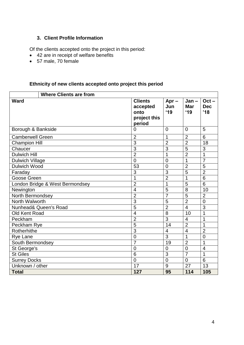## **3. Client Profile Information**

Of the clients accepted onto the project in this period:

- 42 are in receipt of welfare benefits
- 57 male, 70 female

# **Ethnicity of new clients accepted onto project this period**

|                         | <b>Where Clients are from</b>   |                                                              |                       |                              |                              |
|-------------------------|---------------------------------|--------------------------------------------------------------|-----------------------|------------------------------|------------------------------|
| Ward                    |                                 | <b>Clients</b><br>accepted<br>onto<br>project this<br>period | $Apr -$<br>Jun<br>'19 | $Jan -$<br><b>Mar</b><br>'19 | $Oct -$<br><b>Dec</b><br>'18 |
| Borough & Bankside      |                                 | 0                                                            | $\Omega$              | $\Omega$                     | 5                            |
| <b>Camberwell Green</b> |                                 | $\overline{2}$                                               | 1                     | $\overline{2}$               | 6                            |
| <b>Champion Hill</b>    |                                 | $\overline{3}$                                               | $\overline{2}$        | $\overline{2}$               | 18                           |
| Chaucer                 |                                 | $\overline{3}$                                               | $\overline{3}$        | $\overline{5}$               | 3                            |
| <b>Dulwich Hill</b>     |                                 | $\overline{2}$                                               | 1                     | $\overline{2}$               | $\mathbf{1}$                 |
| <b>Dulwich Village</b>  |                                 | $\overline{0}$                                               | $\mathbf 0$           | 1                            | $\overline{7}$               |
| <b>Dulwich Wood</b>     |                                 | $\overline{53}$                                              | $\overline{0}$<br>3   | $\overline{2}$               | $\overline{5}$               |
| Faraday                 |                                 | $\overline{3}$                                               |                       | $\overline{5}$               | $\overline{2}$               |
| Goose Green             |                                 | 1                                                            | $\overline{2}$        | 1                            | 6                            |
|                         | London Bridge & West Bermondsey | $\overline{2}$                                               | 1                     | 5                            | $\overline{6}$               |
| Newington               |                                 | $\overline{\mathbf{4}}$                                      | 5                     | 8                            | 10                           |
| North Bermondsey        |                                 | $\overline{2}$                                               | $\overline{7}$        | $\overline{5}$               | $\overline{2}$               |
| North Walworth          |                                 | $\overline{3}$                                               | 5                     | $\overline{2}$               | $\overline{0}$               |
|                         | Nunhead& Queen's Road           | $\overline{5}$                                               | $\overline{2}$        | $\overline{4}$               | 3                            |
| Old Kent Road           |                                 | $\overline{4}$                                               | 8                     | 10                           | $\overline{1}$               |
| Peckham                 |                                 | $\overline{2}$                                               | $\overline{3}$<br>14  | $\overline{4}$               | 1                            |
| Peckham Rye             |                                 | $\overline{5}$                                               |                       | $\overline{2}$               | 1                            |
| Rotherhithe             |                                 | $\overline{3}$                                               |                       | $\overline{4}$               | $\overline{2}$               |
| Rye Lane                |                                 | $\overline{0}$                                               | 3<br>19               | 1                            | $\overline{0}$               |
| South Bermondsey        |                                 | $\overline{7}$                                               |                       | $\overline{2}$               | $\overline{1}$               |
| St George's             |                                 | $\mathbf 0$                                                  | $\overline{0}$        | $\overline{0}$               | $\overline{4}$               |
| <b>St Giles</b>         |                                 | 6                                                            | 3                     | $\overline{7}$               | 1                            |
| <b>Surrey Docks</b>     |                                 | $\overline{0}$                                               | $\mathbf 0$           | $\overline{0}$               | $6\phantom{1}6$              |
| Unknown / other         |                                 | 17                                                           | 9                     | 27                           | 13                           |
| <b>Total</b>            |                                 | 127                                                          | 95                    | 114                          | 105                          |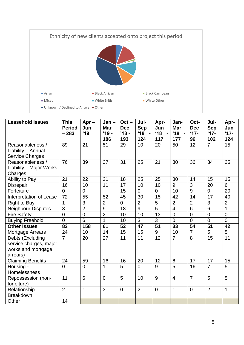

| <b>Leasehold Issues</b>                                                      | <b>This</b><br><b>Period</b><br>$-283$ | $Apr -$<br>Jun<br>'19 | $Jan -$<br><b>Mar</b><br>$'19 -$<br>186 | $Oct -$<br><b>Dec</b><br>$'18 -$<br>193 | Jul-<br><b>Sep</b><br>$'18 -$<br>124 | Apr-<br>Jun<br>$^{\circ}18$<br>$\blacksquare$<br>117 | Jan-<br><b>Mar</b><br>$^{\prime}18$<br>$\blacksquare$<br>177 | Oct-<br><b>Dec</b><br>$17 -$<br>96 | Jul-<br><b>Sep</b><br>$17 -$<br>102 | Apr-<br>Jun<br>$17 -$<br>124 |
|------------------------------------------------------------------------------|----------------------------------------|-----------------------|-----------------------------------------|-----------------------------------------|--------------------------------------|------------------------------------------------------|--------------------------------------------------------------|------------------------------------|-------------------------------------|------------------------------|
| Reasonableness /<br>Liability - Annual<br><b>Service Charges</b>             | 89                                     | 21                    | 51                                      | 29                                      | 10                                   | 20                                                   | 50                                                           | 12                                 | $\overline{7}$                      | 15                           |
| Reasonableness /<br>Liability - Major Works<br>Charges                       | 76                                     | 39                    | 37                                      | 31                                      | 25                                   | 21                                                   | 30                                                           | 36                                 | 34                                  | 25                           |
| Ability to Pay                                                               | 21                                     | 22                    | 21                                      | 18                                      | 25                                   | 25                                                   | 30                                                           | 14                                 | 15                                  | 15                           |
| <b>Disrepair</b>                                                             | 16                                     | 10                    | 11                                      | 17                                      | 10                                   | 10                                                   | 9                                                            | 3                                  | 20                                  | 6                            |
| Forfeiture                                                                   | $\overline{0}$                         | $\overline{0}$        |                                         | 15                                      | $\overline{0}$                       | $\overline{0}$                                       | 10                                                           | 9                                  | $\overline{0}$                      | 20                           |
| Interpretation of Lease                                                      | $\overline{72}$                        | 55                    | 52                                      | 45                                      | 30                                   | 15                                                   | 42                                                           | 14                                 | 17                                  | 40                           |
| <b>Right to Buy</b>                                                          | 1                                      | 3                     | $\overline{2}$                          | $\mathbf 0$                             | $\overline{2}$                       | 5                                                    | $\overline{2}$                                               | $\overline{2}$                     | 3                                   | $\overline{2}$               |
| <b>Neighbour Disputes</b>                                                    | 8                                      | $\overline{2}$        | 9                                       | 18                                      | $\overline{9}$                       | $\overline{5}$                                       | $\overline{4}$                                               | $6\phantom{1}6$                    | $6\phantom{1}6$                     | $\overline{1}$               |
| <b>Fire Safety</b>                                                           | $\overline{0}$                         | $\overline{0}$        | $\overline{2}$                          | 10                                      | 10                                   | 13                                                   | $\overline{0}$                                               | $\overline{0}$                     | $\overline{0}$                      | $\overline{0}$               |
| <b>Buying Freehold</b>                                                       | $\overline{0}$                         | 6                     | $\overline{1}$                          | 10                                      | $\overline{3}$                       | $\overline{3}$                                       | $\overline{0}$                                               | $\overline{0}$                     | $\overline{0}$                      | $\overline{0}$               |
| <b>Other Issues</b>                                                          | 82                                     | 158                   | 61                                      | 52                                      | 47                                   | 51                                                   | 33                                                           | 54                                 | 51                                  | 42                           |
| Mortgage Arrears                                                             | 24                                     | 10                    | 14                                      | 15                                      | 15                                   | 9                                                    | 10                                                           | $\overline{7}$                     | 5                                   | 5                            |
| Debts (Excluding<br>service charges, major<br>works and mortgage<br>arrears) | $\overline{7}$                         | 20                    | 27                                      | 11                                      | 11                                   | 12                                                   | $\overline{7}$                                               | 8                                  | 15                                  | $\overline{11}$              |
| <b>Claiming Benefits</b>                                                     | 24                                     | 59                    | 16                                      | 16                                      | 20                                   | 12                                                   | $6\phantom{1}$                                               | 17                                 | 17                                  | 15                           |
| Housing -<br>Homelessness                                                    | $\overline{0}$                         | $\Omega$              | 1                                       | 5                                       | $\Omega$                             | 9                                                    | $\overline{5}$                                               | 16                                 | $\overline{7}$                      | 5                            |
| Repossession (non-<br>forfeiture)                                            | 11                                     | 6                     | $\Omega$                                | $\overline{5}$                          | 10                                   | 9                                                    | $\overline{4}$                                               | $\overline{7}$                     | 5                                   | $\overline{5}$               |
| Relationship<br><b>Breakdown</b>                                             | $\overline{2}$                         | 1                     | 3                                       | $\overline{0}$                          | 2                                    | $\overline{0}$                                       | $\mathbf{1}$                                                 | $\overline{0}$                     | $\overline{2}$                      | $\mathbf 1$                  |
| Other                                                                        | 14                                     |                       |                                         |                                         |                                      |                                                      |                                                              |                                    |                                     |                              |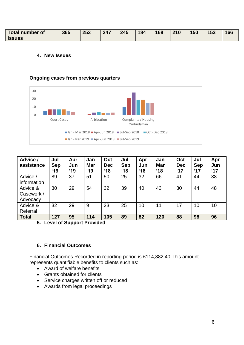| <b>Total number of</b> | 365 | 253 | 247 | 245 | 184 | 168 | 210 | 150 | 153 | 166 |
|------------------------|-----|-----|-----|-----|-----|-----|-----|-----|-----|-----|
| <b>issues</b>          |     |     |     |     |     |     |     |     |     |     |

#### **4. New Issues**

#### **Ongoing cases from previous quarters**



| Advice /<br>assistance             | $Jul -$<br><b>Sep</b><br>$^{\prime}19$ | $Apr -$<br>Jun<br>$^4$ 19 | Jan-<br><b>Mar</b><br>'19 | $Oct -$<br><b>Dec</b><br>$^{\circ}18$ | $Jul -$<br><b>Sep</b><br>$^{\circ}18$ | $Apr -$<br>Jun<br>$^{\circ}18$ | $Jan -$<br><b>Mar</b><br>$^{\prime}18$ | $Oct -$<br><b>Dec</b><br>17 | $Jul -$<br><b>Sep</b><br>$^{\circ}17$ | $Apr -$<br>Jun<br>$^{\circ}17$ |
|------------------------------------|----------------------------------------|---------------------------|---------------------------|---------------------------------------|---------------------------------------|--------------------------------|----------------------------------------|-----------------------------|---------------------------------------|--------------------------------|
| Advice /<br>information            | 89                                     | 37                        | 51                        | 50                                    | 25                                    | 32                             | 66                                     | 41                          | 44                                    | 38                             |
| Advice &<br>Casework /<br>Advocacy | 30                                     | 29                        | 54                        | 32                                    | 39                                    | 40                             | 43                                     | 30                          | 44                                    | 48                             |
| Advice &<br>Referral               | 32                                     | 29                        | 9                         | 23                                    | 25                                    | 10                             | 11                                     | 17                          | 10                                    | 10                             |
| <b>Total</b>                       | 127                                    | 95                        | 114                       | 105                                   | 89                                    | 82                             | 120                                    | 88                          | 98                                    | 96                             |

**5. Level of Support Provided** 

### **6. Financial Outcomes**

Financial Outcomes Recorded in reporting period is £114,882.40.This amount represents quantifiable benefits to clients such as:

- Award of welfare benefits
- Grants obtained for clients
- Service charges written off or reduced
- Awards from legal proceedings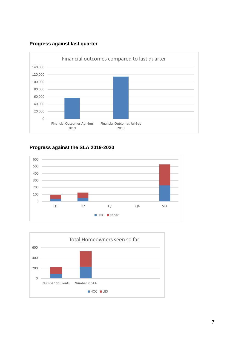## **Progress against last quarter**



# **Progress against the SLA 2019-2020**



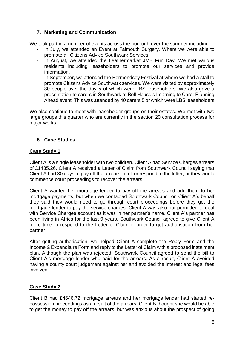# **7. Marketing and Communication**

We took part in a number of events across the borough over the summer including:

- In July, we attended an Event at Falmouth Surgery. Where we were able to promote all Citizens Advice Southwark Services.
- In August, we attended the Leathermarket JMB Fun Day. We met various residents including leaseholders to promote our services and provide information.
- In September, we attended the Bermondsey Festival at where we had a stall to promote Citizens Advice Southwark services. We were visited by approximately 30 people over the day 5 of which were LBS leaseholders. We also gave a presentation to carers in Southwark at Bell House's Learning to Care: Planning Ahead event. This was attended by 40 carers 5 or which were LBS leaseholders

We also continue to meet with leaseholder groups on their estates. We met with two large groups this quarter who are currently in the section 20 consultation process for major works.

# **8. Case Studies**

# **Case Study 1**

Client A is a single leaseholder with two children. Client A had Service Charges arrears of £1435.26. Client A received a Letter of Claim from Southwark Council saying that Client A had 30 days to pay off the arrears in full or respond to the letter, or they would commence court proceedings to recover the arrears.

Client A wanted her mortgage lender to pay off the arrears and add them to her mortgage payments, but when we contacted Southwark Council on Client A's behalf they said they would need to go through court proceedings before they get the mortgage lender to pay the service charges. Client A was also not permitted to deal with Service Charges account as it was in her partner's name. Client A's partner has been living in Africa for the last 9 years. Southwark Council agreed to give Client A more time to respond to the Letter of Claim in order to get authorisation from her partner.

After getting authorisation, we helped Client A complete the Reply Form and the Income & Expenditure Form and reply to the Letter of Claim with a proposed instalment plan. Although the plan was rejected, Southwark Council agreed to send the bill to Client A's mortgage lender who paid for the arrears. As a result, Client A avoided having a county court judgement against her and avoided the interest and legal fees involved.

# **Case Study 2**

Client B had £4646.72 mortgage arrears and her mortgage lender had started repossession proceedings as a result of the arrears. Client B thought she would be able to get the money to pay off the arrears, but was anxious about the prospect of going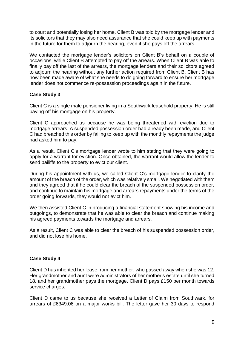to court and potentially losing her home. Client B was told by the mortgage lender and its solicitors that they may also need assurance that she could keep up with payments in the future for them to adjourn the hearing, even if she pays off the arrears.

We contacted the mortgage lender's solicitors on Client B's behalf on a couple of occasions, while Client B attempted to pay off the arrears. When Client B was able to finally pay off the last of the arrears, the mortgage lenders and their solicitors agreed to adjourn the hearing without any further action required from Client B. Client B has now been made aware of what she needs to do going forward to ensure her mortgage lender does not commence re-possession proceedings again in the future.

## **Case Study 3**

Client C is a single male pensioner living in a Southwark leasehold property. He is still paying off his mortgage on his property.

Client C approached us because he was being threatened with eviction due to mortgage arrears. A suspended possession order had already been made, and Client C had breached this order by failing to keep up with the monthly repayments the judge had asked him to pay.

As a result, Client C's mortgage lender wrote to him stating that they were going to apply for a warrant for eviction. Once obtained, the warrant would allow the lender to send bailiffs to the property to evict our client.

During his appointment with us, we called Client C's mortgage lender to clarify the amount of the breach of the order, which was relatively small. We negotiated with them and they agreed that if he could clear the breach of the suspended possession order, and continue to maintain his mortgage and arrears repayments under the terms of the order going forwards, they would not evict him.

We then assisted Client C in producing a financial statement showing his income and outgoings, to demonstrate that he was able to clear the breach and continue making his agreed payments towards the mortgage and arrears.

As a result, Client C was able to clear the breach of his suspended possession order, and did not lose his home.

## **Case Study 4**

Client D has inherited her lease from her mother, who passed away when she was 12. Her grandmother and aunt were administrators of her mother's estate until she turned 18, and her grandmother pays the mortgage. Client D pays £150 per month towards service charges.

Client D came to us because she received a Letter of Claim from Southwark, for arrears of £6349.06 on a major works bill. The letter gave her 30 days to respond